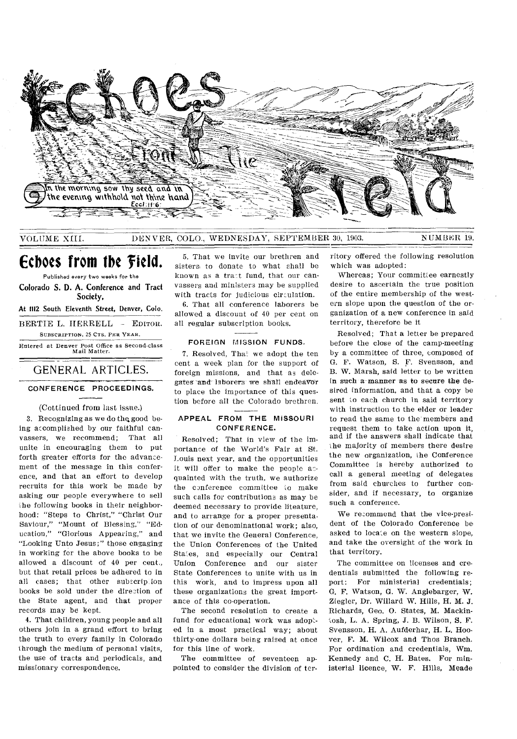

VOLUME XIII.

DENVER, COLO., WEDNESDAY, SEPTEMBER 30, 1903.

NUMBER 19.

Echoes from the Field.

Published every two weeks for the Colorado S. D. A. Conference and Tract Society,

At 1112 South Eleventh Street, Denver, Colo.

BERTIE L. HERRELL - EDITOR. SUBSCRIPTION, 25 CTS. PER YEAR.

Entered at Denver Post Office as Second-class<br>Mail Matter.

# GENERAL ARTICLES.

## CONFERENCE PROCEEDINGS.

#### (Cottinued from last issue.)

3. Recognizing as we do the good being accomplished by our faithful canvassers, we recommend; That all unite in encouraging them to put forth greater efforts for the advancement of the message in this conference, and that an effort to develop recruits for this work be made by asking our people everywhere to sell the following books in their neighborhood: "Steps to Christ," "Christ Our Saviour," "Mount of Blessing," "Education," "Glorious Appearing," and "Looking Unto Jesus;" those engaging in working for the above books to be allowed a discount of 40 per cent., but that retail prices be adhered to in all cases; that other subscription books be sold under the direction of the State agent, and that proper records may be kept.

4. That children, young people and all others join in a grand effort to bring the truth to every family in Colorado through the medium of personal visits, the use of tracts and periodicals, and missionary correspondence.

5. That we invite our brethren and sisters to donate to what shall be known as a tract fund, that our canvassers and ministers may be supplied with tracts for judicious circulation.

6. That all conference laborers be allowed a discount of 40 per cent on all regular subscription books.

#### FOREIGN MISSION FUNDS.

7. Resolved. That we adopt the ten cent a week plan for the support of foreign missions, and that as delegates and laborers we shall endeavor to place the importance of this question before all the Colorado brethren.

#### APPEAL FROM THE MISSOURI CONFERENCE.

Resolved; That in view of the importance of the World's Fair at St. Louis next year, and the opportunities it will offer to make the people acquainted with the truth, we authorize the conference committee to make such calls for contributions as may be deemed necessary to provide liteature. and to arrange for a proper presentation of our denominational work; also, that we invite the General Conference. the Union Conferences of the United States, and especially our Central Union Conference and our sister State Conferences to unite with us in this work, and to impress upon all these organizations the great importance of this co-operation.

The second resolution to create a fund for educational work was adopted in a most practical way; about thirty-one dollars being raised at once for this line of work.

The committee of seventeen appointed to consider the division of territory offered the following resolution which was adopted:

Whereas; Your committee earnestly desire to ascertain the true position of the entire membership of the western slope upon the question of the organization of a new conference in said territory, therefore be it

Resolved: That a letter be prepared before the close of the camp-meeting by a committee of three, composed of G. F. Watson, S. F. Svensson, and B. W. Marsh, said letter to be written in such a manner as to secure the desired information, and that a copy be sent to each church in said territory with instruction to the elder or leader to read the same to the members and request them to take action upon it. and if the answers shall indicate that the majority of members there desire the new organization, the Conference Committee is hereby authorized to call a general meeting of delegates from said churches to further consider, and if necessary, to organize such a conference.

We recommend that the vice-president of the Colorado Conference be asked to locate on the western slope, and take the oversight of the work in that territory.

The committee on licenses and credentials submitted the following report: For ministerial credentials; G. F. Watson, G. W. Anglebarger, W. Ziegler, Dr. Willard W. Hills, H. M. J. Richards, Geo. O. States, M. Mackintosh, L. A. Spring, J. B. Wilson, S. F. Svensson, H. A. Aufderhar, H. L. Hoover. F. M. Wilcox and Thos Branch. For ordination and credentials, Wm. Kennedy and C. H. Bates. For ministerial licence, W. F. Hills, Meade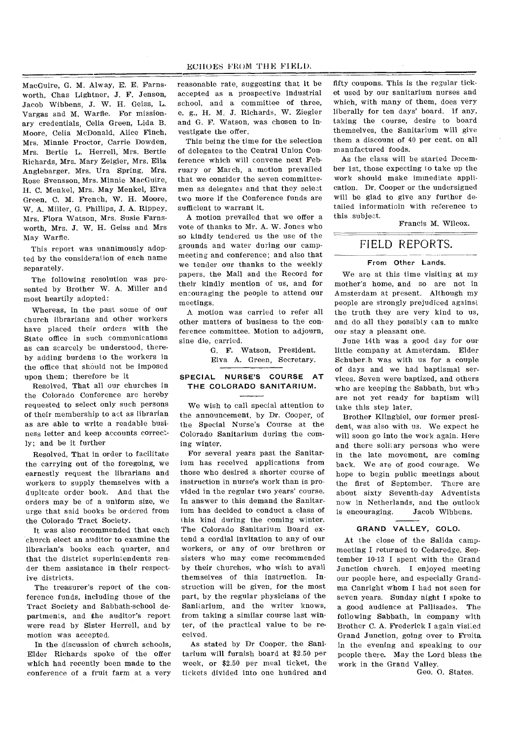MacGuire, G. M. Alway, E. E. Farnsworth, Chas Lightner, J. F. Jenson, Jacob Wibbens, J. W. H. Geiss, L. Vargas and M. Warfle. For missionary credentials, Celia Green, Lida B. Moore, Celia McDonald, Alice Finch, Mrs. Minnie Proctor, Carrie Dowden, Mrs. Bertie L. Herrell, Mrs. Bertie Richards, Mrs. Mary Zeigler, Mrs. Ella Anglebarger, Mrs. Ura Spring, Mrs. Rose Svensson, Mrs. Minnie MacGuire, H. C. Menkel, Mrs. May Menkel, Elva Green, C. M. French, W. H. Moore, W. A. Miller, G. Phillips, J. A. Rippey, Mrs. Flora Watson, Mrs. Susie Farnsworth, Mrs. J. W. H. Geiss and Mrs May Warfie.

This report was unanimously adopted by the consideration of each name separately.

The following resolution was presented by Brother W. A. Miller and most heartily adopted:

Whereas, in the past some of our church librarians and other workers have placed their orders with the State office in such communications as can scarcely be understood, thereby adding burdens to the workers in the office that should not be imposed upon them; therefore be it

Resolved, That all our churches in the Colorado Conference are hereby requested to select only such persons of their membership to act as librarian as are able to write a readable business letter and keep accounts correctly; and be it further

Resolved, That in order to facilitate the carrying out of the foregoing, we earnestly request the librarians and workers to supply themselves with a duplicate order book. And that the orders may be of a uniform size, we urge that said books be ordered from the Colorado Tract Society.

It was also recommended that each church elect an auditor to examine the librarian's books each quarter, and that the district superintendents render them assistance in their respective districts.

The treasurer's report of the conference funds, including those of the Tract Society and Sabbath-school departments, and the auditor's report were read by Sister Herrell, and by motion was accepted.

In the discussion of church schools, Elder Richards spoke of the offer which had recently been made to the conference of a fruit farm at a very reasonable rate, suggesting that it be accepted as a prospective industrial school, and a committee of three, e. g., H. M. J. Richards, W. Ziegler and G. F. Watson, was chosen to investigate the offer.

This being the time for the selection of delegates to the Central Union Conference which will convene next February or March, a motion prevailed that we consider the seven committeemen as delegates and that they select two more if the Conference funds are sufficient to warrant it.

A motion prevailed that we offer a vote of thanks to Mr. A. W. Jones who so kindly tendered us the use of the grounds and water during our campmeeting and conference; and also that we tender our thanks to the weekly papers, the Mail and the Record for their kindly mention of us, and for encouraging the people to attend our meetings.

A motion was carried to refer all other matters of business to the conference committee. Motion to adjourn, sine die, carried.

> G. F. Watson, President. Elva A. Green, Secretary.

#### **SPECIAL NURSE'S COURSE AT THE COLORADO SANITARIUM.**

We wish to call special attention to the announcement, by Dr. Cooper, of the Special Nurse's Course at the Colorado Sanitarium during the coming winter.

For several years past the Sanitarium has received applications from those who desired a shorter course of instruction in nurse's work than is provided in the regular two years' course. In answer to this demand the Sanitarium has decided to conduct a class of this kind during the coming winter. The Colorado Sanitarium Board extend a cordial invitation to any of our workers, or any of our brethren or sisters who may come recommended by their churches, who wish to avail themselves of this instruction. Instruction will be given, for the most part, by the regular physicians of the Sanitarium, and the writer knows, from taking a similar course last winter, of the practical value to be received.

As stated by Dr Cooper, the Sanitarium will furnish board at \$2.50 per week, or \$2.50 per meal ticket, the tickets divided into one hundred and

fifty coupons. This is the regular ticket used by our sanitarium nurses and which, with many of them, does very liberally for ten days' board. if any, taking the course, desire to board themselves, the Sanitarium will give them a discount of 40 per cent. on all manufactured foods.

As the class will be started December 1st, those expecting to take up the work should make immediate application. Dr. Cooper or the undersigned will be glad to give any further detailed informatioin with reference to this subject.

Francis M. Wilcox.

# FIELD REPORTS.

#### **From Other Lands.**

We are at this time visiting at my mother's home, and so are not in Amsterdam at present. Although my people are strongly prejudiced against the truth they are very kind to us, and do all they possibly can to make our stay a pleasant one.

June 14th was a good day for our little company at Amsterdam. Elder Schuberth was with us for a couple of days and we had baptismal services. Seven were baptized, and others who are keeping the Sabbath, but who are not yet ready for baptism will take this step later.

Brother Klingbiel, our former president, was also with us. We expect he will soon go into the work again. Here and there solitary persons who were in the late movement, are coming back. We are of good courage. We hope to begin public meetings about the first of September. There are about sixty Seventh-day Adventists now in Netherlands, and the outlook is encouraging. Jacob Wibbens.

### **GRAND VALLEY, COLO.**

At the close of the Salida campmeeting I returned to Cedaredge. September 10-13 I spent with the Grand Junction church. I enjoyed meeting our people here, and especially Grandma Canright whom I had not seen for seven years. Sunday night I spoke to a good audience at Pallisades. The following Sabbath, in company with Brother C. A. Frederick I again visiled Grand Junction, going over to Fruita in the evening and speaking to our people there. May the Lord bless the work in the Grand Valley.

Geo. 0. States.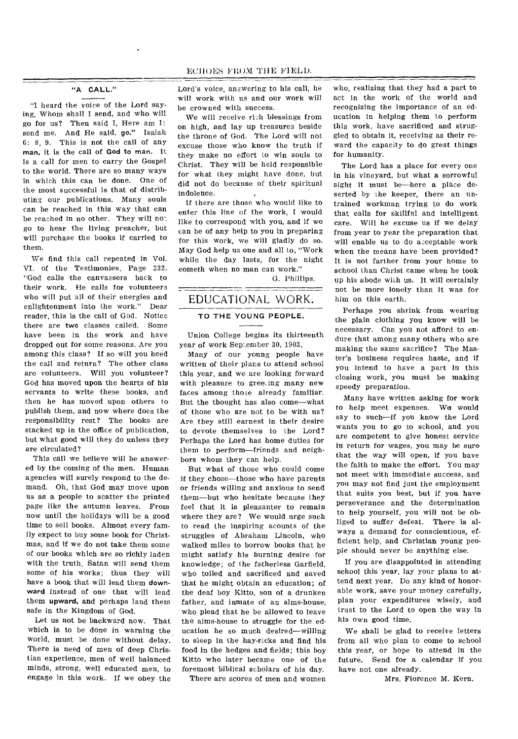#### EC1 OES FROM THE FIELD.

#### "A CALL."

"I heard the voice of the Lord saying, Whom shall I send, and who will go for us? Then said I, Here am I: send me. And He said, go." Isaiah 6: 8, 9. This is not the call of any man, it is the call of God to man. It is a call for men to carry the Gospel to the world. There are so many ways in which this can be done. One of the most successful is that of distributing our publications. Many souls can be reached in this way that can be reached in no other. They will no' go to hear the living preacher, but will purchase the books if carried to them.

We find this call repeated in Vol. VI. of the Testimonies, Page 332. "God calls the canvassers back to their work. He calls for volunteers who will put all of their energies and enlightenment into the work." Dear reader, this is the call of God. Notice there are two classes called. Some have been in the work and have dropped out for some reasons. Are you among this class? If so will you heed the call and return? The other class are volunteers. Will you volunteer? God has moved upon the hearts of his servants to write these books, and then he has moved upon others to publish them, and now where does the responsibility rest? The books are stacked up in the office of publication, but what good will they do unless they are circulated?

This call we believe will be answered by the coming of the men. Human agencies will surely respond to the demand. Oh, that God may move upon us as a people to scatter the printed page like the autumn leaves. From now until the holidays will be a good time to sell books. Almost every family expect to buy some book for Christmas, and if we do not take them some of our books which are so richly laden with the truth, Satan will send them some of his works; thus they will have a book that will lead them downward instead of one that will lead them upward, and perhaps land them safe in the Kingdom of God.

Let us not be backward now. That which is to be done in warning the world, must be done without delay. There is need of men of deep Christian experience, men of well balanced minds, strong, well educated men, to engage in this work. If we obey the

Lord's voice, answering to his call, he will work with us and our work will be crowned with success.

We will receive ri2h blessings from on high, and lay up treasures beside the throne of God. The Lord will not excuse those who know the truth if they make no effort to win souls to Christ. They will be held responsible for what they might have done, but did not do because of their spiritual indolence.

If there are those who would like to enter this line of the work, I would like to correspond with you, and if we can be of any help to you in preparing for this work, we will gladly do so. May God help us one and all to, "Work while the day lasts, for the night cometh when no man can work."

G. Phillips.

# EDUCATIONAL WORK.

-----

# **TO THE YOUNG PEOPLE.**

**Union** College begins its thirteenth year of work September 30, 1903.

Many of our young people have written of their plans to attend school this year, and we are looking forward with pleasure to greeting many new faces among those already familiar. But the thought has also come—what of those who are not to be with us? Are they still earnest in their desire to devote themselves to the Lord? Perhaps the Lord has home duties for them to perform—friends and neighbors whom they can help.

But what of those who could come if they chose—those who have parents or friends willing and anxious to send them—but who hesitate because they feel that it is pleasanter to remain where they are? We would urge such to read the inspiring acounts of the struggles of Abraham Lincoln, who walked miles to borrow books that he might satisfy his burning desire for knowledge; of the fatherless Garfield, who toiled and sacrificed and saved that he might obtain an education; of the deaf boy Kitto, son of a drunken father, and inmate of an alms-house, who plead that he be allowed to leave the alms-house to struggle for the education he so much desired—willing to sleep in the hay-ricks and find his food in the hedges and fields; this boy Kitto who later became one of the foremost biblical scholars of his day.

There are scores of men and women

who, realizing that they had a part to act in the work of the world and recognizing the importance of an education in helping them to perform this work, have sacrificed and struggled to obtain it, receiving as their reward the capacity to do great things for humanity.

The Lord has a place for every one in his vineyard, but what a sorrowful sight it must be—here a place deserted by the keeper, there an untrained workman trying to do work that calls for skillful and intelligent care. Will he excuse us if we delay from year to year the preparation that will enable us to do asceptable work when the means have been provided? It is not farther from your home to school than Christ came when he took up his abode with us. It will certainly not be more lonely than it was for him on this earth.

Perhaps you shrink from wearing the plain clothing you know will be necessary. Can you not afford to endure that among many others who are making the same sacrifice? The Master's business requires haste, and if you intend to have a part in this closing work, you must be making speedy preparation.

Many have written asking for work to help meet expenses. We would say to such—if you know the Lord wants you to go to school, and you are competent to give honest service in return for wages, you may be sure that the way will open, if you have the faith to make the effort. You may not meet with immediate success, and you may not find just the employment that suits you best, but if you have perseverance and the determination to help yourself, you will not be obliged to suffer defeat. There is always a demand for conscientious, efficient help, and Christian young people should never be anything else.

If you are disappointed in attending school this year, lay your plans to attend next year. Do any kind of honorable work, save your money carefully, plan your expenditures wisely, and trust to the Lord to open the way in his own good time.

We shall be glad to receive letters from all who plan to come to school this year, or hope to attend in the future. Send for a calendar if you have not one already.

Mrs. Florence M. Kern.